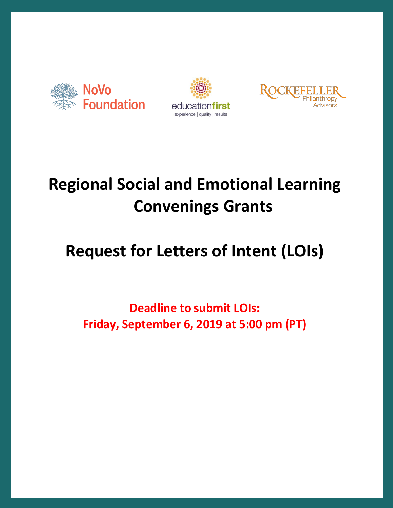





# **Regional Social and Emotional Learning Convenings Grants**

# **Request for Letters of Intent (LOIs)**

**Deadline to submit LOIs: Friday, September 6, 2019 at 5:00 pm (PT)**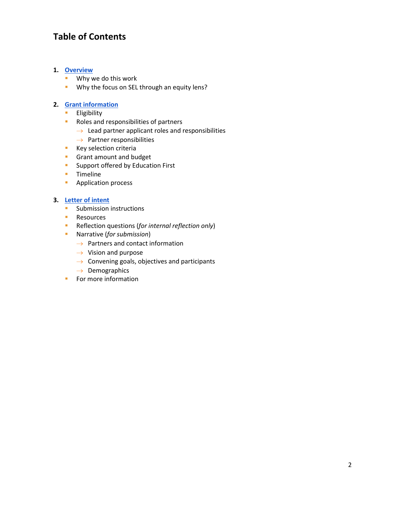# **Table of Contents**

#### **1. [Overview](#page-2-0)**

- **Why we do this work**
- **Why the focus on SEL through an equity lens?**

#### **2. [Grant information](#page-3-0)**

- **Eligibility**
- **Roles and responsibilities of partners** 
	- $\rightarrow$  Lead partner applicant roles and responsibilities
	- $\rightarrow$  Partner responsibilities
- **Key selection criteria**
- **Grant amount and budget**
- **Support offered by Education First**
- **Timeline**
- **Application process**

#### **3. [Letter of intent](#page-6-0)**

- **Submission instructions**
- **Resources**
- Reflection questions (*for internal reflection only*)
- Narrative (*for submission*)
	- $\rightarrow$  Partners and contact information
	- $\rightarrow$  Vision and purpose
	- $\rightarrow$  Convening goals, objectives and participants
	- $\rightarrow$  Demographics
- **For more information**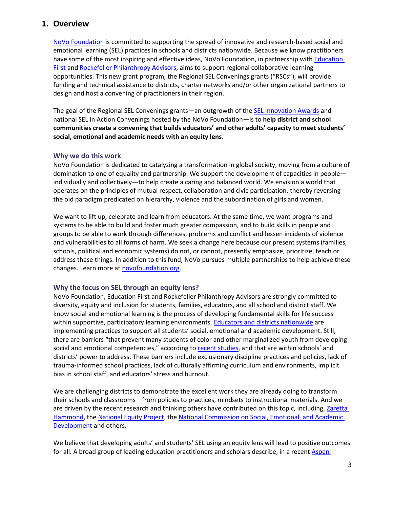### <span id="page-2-0"></span>**1. Overview**

[NoVo Foundation](https://novofoundation.org/) is committed to supporting the spread of innovative and research-based social and emotional learning (SEL) practices in schools and districts nationwide. Because we know practitioners have some of the most inspiring and effective ideas, NoVo Foundation, in partnership with **Education** [First](https://education-first.com/) and [Rockefeller Philanthropy Advisors,](https://www.rockpa.org/) aims to support regional collaborative learning opportunities. This new grant program, the Regional SEL Convenings grants ("RSCs"), will provide funding and technical assistance to districts, charter networks and/or other organizational partners to design and host a convening of practitioners in their region.

The goal of the Regional SEL Convenings grants—an outgrowth of the **SEL Innovation Awards** and national SEL in Action Convenings hosted by the NoVo Foundation—is to **help district and school communities create a convening that builds educators' and other adults' capacity to meet students' social, emotional and academic needs with an equity lens**.

#### **Why we do this work**

NoVo Foundation is dedicated to catalyzing a transformation in global society, moving from a culture of domination to one of equality and partnership. We support the development of capacities in people individually and collectively—to help create a caring and balanced world. We envision a world that operates on the principles of mutual respect, collaboration and civic participation, thereby reversing the old paradigm predicated on hierarchy, violence and the subordination of girls and women.

We want to lift up, celebrate and learn from educators. At the same time, we want programs and systems to be able to build and foster much greater compassion, and to build skills in people and groups to be able to work through differences, problems and conflict and lessen incidents of violence and vulnerabilities to all forms of harm. We seek a change here because our present systems (families, schools, political and economic systems) do not, or cannot, presently emphasize, prioritize, teach or address these things. In addition to this fund, NoVo pursues multiple partnerships to help achieve these changes. Learn more at [novofoundation.org.](https://novofoundation.org/)

#### **Why the focus on SEL through an equity lens?**

NoVo Foundation, Education First and Rockefeller Philanthropy Advisors are strongly committed to diversity, equity and inclusion for students, families, educators, and all school and district staff. We know social and emotional learning is the process of developing fundamental skills for life success within supportive, participatory learning environments. [Educators and districts nationwide](http://selforteachers.org/) are implementing practices to support all students' social, emotional and academic development. Still, there are barriers "that prevent many students of color and other marginalized youth from developing social and emotional competencies," according to [recent studies](https://www.rwjf.org/en/library/research/2018/06/applying-an-equity-lens-to-social-emotional-and-academic-development.html), and that are within schools' and districts' power to address. These barriers include exclusionary discipline practices and policies, lack of trauma-informed school practices, lack of culturally affirming curriculum and environments, implicit bias in school staff, and educators' stress and burnout.

We are challenging districts to demonstrate the excellent work they are already doing to transform their schools and classrooms—from policies to practices, mindsets to instructional materials. And we are driven by the recent research and thinking others have contributed on this topic, including, Zaretta [Hammond,](https://crtandthebrain.com/resources/) th[e National Equity Project,](https://nationalequityproject.org/) the [National Commission on Social, Emotional, and Academic](http://nationathope.org/)  [Development](http://nationathope.org/) and others.

We believe that developing adults' and students' SEL using an equity lens will lead to positive outcomes for all. A broad group of leading education practitioners and scholars describe, in a recen[t Aspen](https://www.aspeninstitute.org/publications/pursuing-social-and-emotional-development-through-a-racial-equity-lens-a-call-to-action/)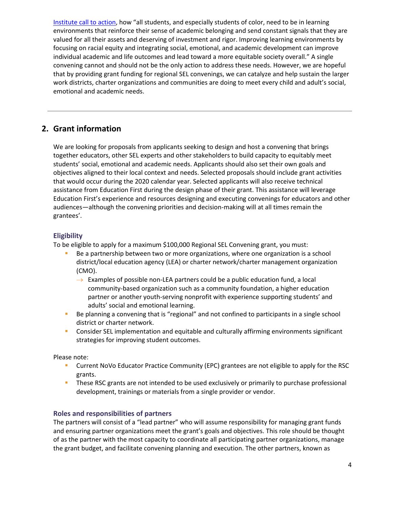[Institute call to action](https://www.aspeninstitute.org/publications/pursuing-social-and-emotional-development-through-a-racial-equity-lens-a-call-to-action/), how "all students, and especially students of color, need to be in learning environments that reinforce their sense of academic belonging and send constant signals that they are valued for all their assets and deserving of investment and rigor. Improving learning environments by focusing on racial equity and integrating social, emotional, and academic development can improve individual academic and life outcomes and lead toward a more equitable society overall." A single convening cannot and should not be the only action to address these needs. However, we are hopeful that by providing grant funding for regional SEL convenings, we can catalyze and help sustain the larger work districts, charter organizations and communities are doing to meet every child and adult's social, emotional and academic needs.

# <span id="page-3-0"></span>**2. Grant information**

We are looking for proposals from applicants seeking to design and host a convening that brings together educators, other SEL experts and other stakeholders to build capacity to equitably meet students' social, emotional and academic needs. Applicants should also set their own goals and objectives aligned to their local context and needs. Selected proposals should include grant activities that would occur during the 2020 calendar year. Selected applicants will also receive technical assistance from Education First during the design phase of their grant. This assistance will leverage Education First's experience and resources designing and executing convenings for educators and other audiences—although the convening priorities and decision-making will at all times remain the grantees'.

## **Eligibility**

To be eligible to apply for a maximum \$100,000 Regional SEL Convening grant, you must:

- Be a partnership between two or more organizations, where one organization is a school district/local education agency (LEA) or charter network/charter management organization (CMO).
	- $\rightarrow$  Examples of possible non-LEA partners could be a public education fund, a local community-based organization such as a community foundation, a higher education partner or another youth-serving nonprofit with experience supporting students' and adults' social and emotional learning.
- Be planning a convening that is "regional" and not confined to participants in a single school district or charter network.
- Consider SEL implementation and equitable and culturally affirming environments significant strategies for improving student outcomes.

Please note:

- Current NoVo Educator Practice Community (EPC) grantees are not eligible to apply for the RSC grants.
- **These RSC grants are not intended to be used exclusively or primarily to purchase professional** development, trainings or materials from a single provider or vendor.

### **Roles and responsibilities of partners**

The partners will consist of a "lead partner" who will assume responsibility for managing grant funds and ensuring partner organizations meet the grant's goals and objectives. This role should be thought of as the partner with the most capacity to coordinate all participating partner organizations, manage the grant budget, and facilitate convening planning and execution. The other partners, known as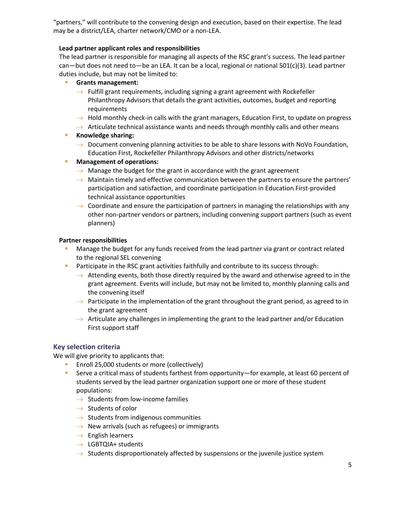"partners," will contribute to the convening design and execution, based on their expertise. The lead may be a district/LEA, charter network/CMO or a non-LEA.

#### **Lead partner applicant roles and responsibilities**

The lead partner is responsible for managing all aspects of the RSC grant's success. The lead partner can—but does not need to—be an LEA. It can be a local, regional or national 501(c)(3). Lead partner duties include, but may not be limited to:

#### **Grants management:**

- $\rightarrow$  Fulfill grant requirements, including signing a grant agreement with Rockefeller Philanthropy Advisors that details the grant activities, outcomes, budget and reporting requirements
- $\rightarrow$  Hold monthly check-in calls with the grant managers, Education First, to update on progress
- $\rightarrow$  Articulate technical assistance wants and needs through monthly calls and other means

#### **Knowledge sharing:**

- $\rightarrow$  Document convening planning activities to be able to share lessons with NoVo Foundation, Education First, Rockefeller Philanthropy Advisors and other districts/networks
- **Management of operations:**
	- $\rightarrow$  Manage the budget for the grant in accordance with the grant agreement
	- $\rightarrow$  Maintain timely and effective communication between the partners to ensure the partners' participation and satisfaction, and coordinate participation in Education First-provided technical assistance opportunities
	- $\rightarrow$  Coordinate and ensure the participation of partners in managing the relationships with any other non-partner vendors or partners, including convening support partners (such as event planners)

#### **Partner responsibilities**

- Manage the budget for any funds received from the lead partner via grant or contract related to the regional SEL convening
- **Participate in the RSC grant activities faithfully and contribute to its success through:** 
	- $\rightarrow$  Attending events, both those directly required by the award and otherwise agreed to in the grant agreement. Events will include, but may not be limited to, monthly planning calls and the convening itself
	- $\rightarrow$  Participate in the implementation of the grant throughout the grant period, as agreed to in the grant agreement
	- $\rightarrow$  Articulate any challenges in implementing the grant to the lead partner and/or Education First support staff

#### **Key selection criteria**

We will give priority to applicants that:

- **Enroll 25,000 students or more (collectively)**
- Serve a critical mass of students farthest from opportunity—for example, at least 60 percent of students served by the lead partner organization support one or more of these student populations:
	- $\rightarrow$  Students from low-income families
	- $\rightarrow$  Students of color
	- $\rightarrow$  Students from indigenous communities
	- $\rightarrow$  New arrivals (such as refugees) or immigrants
	- $\rightarrow$  English learners
	- $\rightarrow$  LGBTQIA+ students
	- $\rightarrow$  Students disproportionately affected by suspensions or the juvenile justice system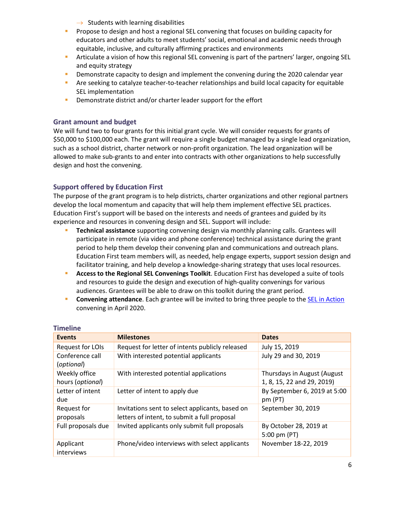- $\rightarrow$  Students with learning disabilities
- **Propose to design and host a regional SEL convening that focuses on building capacity for** educators and other adults to meet students' social, emotional and academic needs through equitable, inclusive, and culturally affirming practices and environments
- Articulate a vision of how this regional SEL convening is part of the partners' larger, ongoing SEL and equity strategy
- Demonstrate capacity to design and implement the convening during the 2020 calendar year
- **Are seeking to catalyze teacher-to-teacher relationships and build local capacity for equitable** SEL implementation
- **Demonstrate district and/or charter leader support for the effort**

#### **Grant amount and budget**

We will fund two to four grants for this initial grant cycle. We will consider requests for grants of \$50,000 to \$100,000 each. The grant will require a single budget managed by a single lead organization, such as a school district, charter network or non-profit organization. The lead organization will be allowed to make sub-grants to and enter into contracts with other organizations to help successfully design and host the convening.

#### **Support offered by Education First**

The purpose of the grant program is to help districts, charter organizations and other regional partners develop the local momentum and capacity that will help them implement effective SEL practices. Education First's support will be based on the interests and needs of grantees and guided by its experience and resources in convening design and SEL. Support will include:

- **Technical assistance** supporting convening design via monthly planning calls. Grantees will participate in remote (via video and phone conference) technical assistance during the grant period to help them develop their convening plan and communications and outreach plans. Education First team members will, as needed, help engage experts, support session design and facilitator training, and help develop a knowledge-sharing strategy that uses local resources.
- **Access to the Regional SEL Convenings Toolkit**. Education First has developed a suite of tools and resources to guide the design and execution of high-quality convenings for various audiences. Grantees will be able to draw on this toolkit during the grant period.
- **Convening attendance**. Each grantee will be invited to bring three people to the **SEL** in Action convening in April 2020.

| TIMENTE                           |                                                                                                 |                                                           |  |
|-----------------------------------|-------------------------------------------------------------------------------------------------|-----------------------------------------------------------|--|
| <b>Events</b>                     | <b>Milestones</b>                                                                               | <b>Dates</b>                                              |  |
| Request for LOIs                  | Request for letter of intents publicly released                                                 | July 15, 2019                                             |  |
| Conference call<br>(optional)     | With interested potential applicants                                                            | July 29 and 30, 2019                                      |  |
| Weekly office<br>hours (optional) | With interested potential applications                                                          | Thursdays in August (August<br>1, 8, 15, 22 and 29, 2019) |  |
| Letter of intent<br>due           | Letter of intent to apply due                                                                   | By September 6, 2019 at 5:00<br>pm (PT)                   |  |
| Request for<br>proposals          | Invitations sent to select applicants, based on<br>letters of intent, to submit a full proposal | September 30, 2019                                        |  |
| Full proposals due                | Invited applicants only submit full proposals                                                   | By October 28, 2019 at<br>5:00 pm $(PT)$                  |  |
| Applicant<br>interviews           | Phone/video interviews with select applicants                                                   | November 18-22, 2019                                      |  |

#### **Timeline**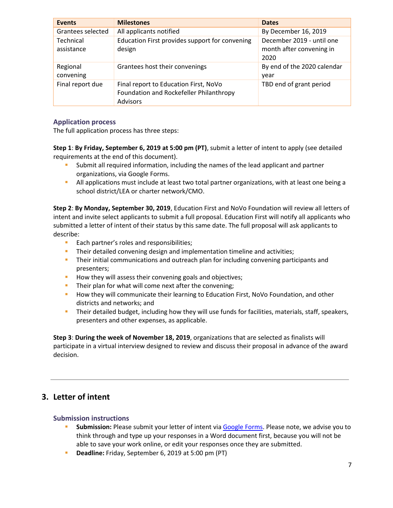| <b>Events</b>                  | <b>Milestones</b>                                                                                   | <b>Dates</b>                                                  |
|--------------------------------|-----------------------------------------------------------------------------------------------------|---------------------------------------------------------------|
| Grantees selected              | All applicants notified                                                                             | By December 16, 2019                                          |
| <b>Technical</b><br>assistance | Education First provides support for convening<br>design                                            | December 2019 - until one<br>month after convening in<br>2020 |
| Regional<br>convening          | Grantees host their convenings                                                                      | By end of the 2020 calendar<br>year                           |
| Final report due               | Final report to Education First, NoVo<br>Foundation and Rockefeller Philanthropy<br><b>Advisors</b> | TBD end of grant period                                       |

#### **Application process**

The full application process has three steps:

**Step 1**: **By Friday, September 6, 2019 at 5:00 pm (PT)**, submit a letter of intent to apply (see detailed requirements at the end of this document).

- Submit all required information, including the names of the lead applicant and partner organizations, via Google Forms.
- **All applications must include at least two total partner organizations, with at least one being a** school district/LEA or charter network/CMO.

**Step 2**: **By Monday, September 30, 2019**, Education First and NoVo Foundation will review all letters of intent and invite select applicants to submit a full proposal. Education First will notify all applicants who submitted a letter of intent of their status by this same date. The full proposal will ask applicants to describe:

- **Each partner's roles and responsibilities;**
- **Their detailed convening design and implementation timeline and activities;**
- **Their initial communications and outreach plan for including convening participants and** presenters;
- How they will assess their convening goals and objectives;
- Their plan for what will come next after the convening;
- How they will communicate their learning to Education First, NoVo Foundation, and other districts and networks; and
- **Their detailed budget, including how they will use funds for facilities, materials, staff, speakers,** presenters and other expenses, as applicable.

**Step 3**: **During the week of November 18, 2019**, organizations that are selected as finalists will participate in a virtual interview designed to review and discuss their proposal in advance of the award decision.

## <span id="page-6-0"></span>**3. Letter of intent**

#### **Submission instructions**

- **Submission:** Please submit your letter of intent via [Google Forms.](https://docs.google.com/forms/d/1Rf4EpxEKYtTwZylkdNuVogtLaMNX-YnaQGfDPPQg1pY/edit?usp=sharing) Please note, we advise you to think through and type up your responses in a Word document first, because you will not be able to save your work online, or edit your responses once they are submitted.
- **Deadline:** Friday, September 6, 2019 at 5:00 pm (PT)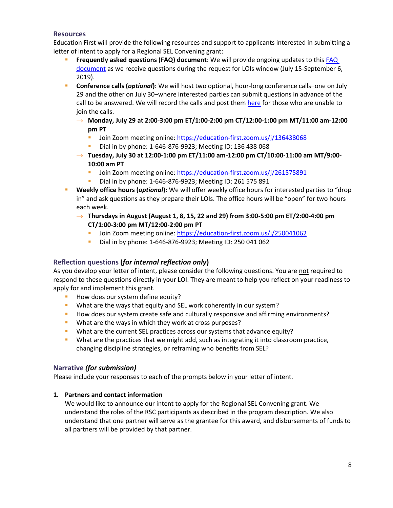#### **Resources**

Education First will provide the following resources and support to applicants interested in submitting a letter of intent to apply for a Regional SEL Convening grant:

- **Frequently asked questions (FAQ) document**: We will provide ongoing updates to thi[s FAQ](https://drive.google.com/file/d/1ikrijUMFRHnMdeljHQOyI_KsKvv9C9yS/view?usp=sharing)  [document](https://drive.google.com/file/d/1ikrijUMFRHnMdeljHQOyI_KsKvv9C9yS/view?usp=sharing) as we receive questions during the request for LOIs window (July 15-September 6, 2019).
- **Conference calls (***optional***)**: We will host two optional, hour-long conference calls–one on July 29 and the other on July 30–where interested parties can submit questions in advance of the call to be answered. We will record the calls and post the[m here](http://bit.ly/SELconvenings) for those who are unable to join the calls.
	- **Monday, July 29 at 2:00-3:00 pm ET/1:00-2:00 pm CT/12:00-1:00 pm MT/11:00 am-12:00 pm PT**
		- I Join Zoom meeting online: https://education-first.zoom.us/j/136438068
		- Dial in by phone: 1-646-876-9923; Meeting ID: 136 438 068
	- **Tuesday, July 30 at 12:00-1:00 pm ET/11:00 am-12:00 pm CT/10:00-11:00 am MT/9:00- 10:00 am PT**
		- Join Zoom meeting online:<https://education-first.zoom.us/j/261575891>
		- Dial in by phone: 1-646-876-9923; Meeting ID: 261 575 891
- **Weekly office hours (***optional***):** We will offer weekly office hours for interested parties to "drop in" and ask questions as they prepare their LOIs. The office hours will be "open" for two hours each week.
	- **Thursdays in August (August 1, 8, 15, 22 and 29) from 3:00-5:00 pm ET/2:00-4:00 pm CT/1:00-3:00 pm MT/12:00-2:00 pm PT**
		- Join Zoom meeting online: https://education-first.zoom.us/j/250041062
		- Dial in by phone: 1-646-876-9923; Meeting ID: 250 041 062

#### **Reflection questions (***for internal reflection only***)**

As you develop your letter of intent, please consider the following questions. You are not required to respond to these questions directly in your LOI. They are meant to help you reflect on your readiness to apply for and implement this grant.

- How does our system define equity?
- What are the ways that equity and SEL work coherently in our system?
- How does our system create safe and culturally responsive and affirming environments?
- What are the ways in which they work at cross purposes?
- What are the current SEL practices across our systems that advance equity?
- What are the practices that we might add, such as integrating it into classroom practice, changing discipline strategies, or reframing who benefits from SEL?

#### **Narrative** *(for submission)*

Please include your responses to each of the prompts below in your letter of intent.

#### **1. Partners and contact information**

We would like to announce our intent to apply for the Regional SEL Convening grant. We understand the roles of the RSC participants as described in the program description. We also understand that one partner will serve as the grantee for this award, and disbursements of funds to all partners will be provided by that partner.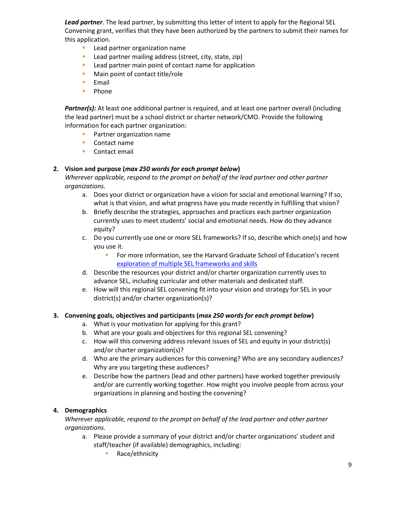*Lead partner*. The lead partner, by submitting this letter of intent to apply for the Regional SEL Convening grant, verifies that they have been authorized by the partners to submit their names for this application.

- **Lead partner organization name**
- **Lead partner mailing address (street, city, state, zip)**
- **Lead partner main point of contact name for application**
- **Main point of contact title/role**
- **Email**
- **Phone**

*Partner(s):* At least one additional partner is required, and at least one partner overall (including the lead partner) must be a school district or charter network/CMO. Provide the following information for each partner organization:

- **Partner organization name**
- Contact name
- Contact email

#### **2. Vision and purpose (***max 250 words for each prompt below***)**

*Wherever applicable, respond to the prompt on behalf of the lead partner and other partner organizations.*

- a. Does your district or organization have a vision for social and emotional learning? If so, what is that vision, and what progress have you made recently in fulfilling that vision?
- b. Briefly describe the strategies, approaches and practices each partner organization currently uses to meet students' social and emotional needs. How do they advance equity?
- c. Do you currently use one or more SEL frameworks? If so, describe which one(s) and how you use it.
	- **For more information, see the Harvard Graduate School of Education's recent** [exploration of multiple SEL frameworks and skills](http://exploresel.gse.harvard.edu/)
- d. Describe the resources your district and/or charter organization currently uses to advance SEL, including curricular and other materials and dedicated staff.
- e. How will this regional SEL convening fit into your vision and strategy for SEL in your district(s) and/or charter organization(s)?

#### **3. Convening goals, objectives and participants (***max 250 words for each prompt below***)**

- a. What is your motivation for applying for this grant?
- b. What are your goals and objectives for this regional SEL convening?
- c. How will this convening address relevant issues of SEL and equity in your district(s) and/or charter organization(s)?
- d. Who are the primary audiences for this convening? Who are any secondary audiences? Why are you targeting these audiences?
- e. Describe how the partners (lead and other partners) have worked together previously and/or are currently working together. How might you involve people from across your organizations in planning and hosting the convening?

#### **4. Demographics**

*Wherever applicable, respond to the prompt on behalf of the lead partner and other partner organizations.*

- a. Please provide a summary of your district and/or charter organizations' student and staff/teacher (if available) demographics, including:
	- Race/ethnicity